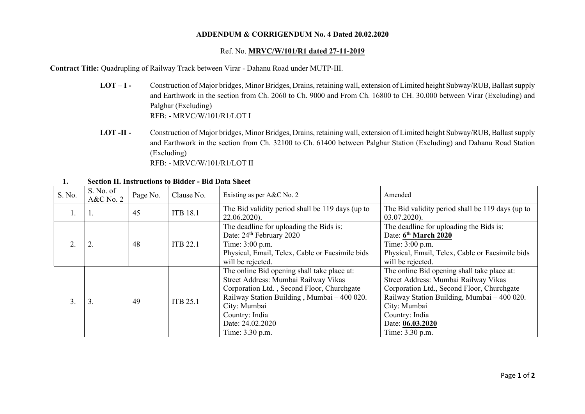## ADDENDUM & CORRIGENDUM No. 4 Dated 20.02.2020

## Ref. No. MRVC/W/101/R1 dated 27-11-2019

Contract Title: Quadrupling of Railway Track between Virar - Dahanu Road under MUTP-III.

- LOT I Construction of Major bridges, Minor Bridges, Drains, retaining wall, extension of Limited height Subway/RUB, Ballast supply and Earthwork in the section from Ch. 2060 to Ch. 9000 and From Ch. 16800 to CH. 30,000 between Virar (Excluding) and Palghar (Excluding) RFB: - MRVC/W/101/R1/LOT I
- LOT -II Construction of Major bridges, Minor Bridges, Drains, retaining wall, extension of Limited height Subway/RUB, Ballast supply and Earthwork in the section from Ch. 32100 to Ch. 61400 between Palghar Station (Excluding) and Dahanu Road Station (Excluding) RFB: - MRVC/W/101/R1/LOT II

| S. No. | S. No. of<br>$A&C$ No. 2 | Page No. | Clause No.      | Existing as per A&C No. 2                                                                                                                                                                                                                                 | Amended                                                                                                                                                                                                                                                   |
|--------|--------------------------|----------|-----------------|-----------------------------------------------------------------------------------------------------------------------------------------------------------------------------------------------------------------------------------------------------------|-----------------------------------------------------------------------------------------------------------------------------------------------------------------------------------------------------------------------------------------------------------|
| Ι.     | -1.                      | 45       | <b>ITB 18.1</b> | The Bid validity period shall be 119 days (up to<br>22.06.2020).                                                                                                                                                                                          | The Bid validity period shall be 119 days (up to<br>03.07.2020).                                                                                                                                                                                          |
|        | 2.                       | 48       | <b>ITB 22.1</b> | The deadline for uploading the Bids is:<br>Date: 24 <sup>th</sup> February 2020<br>Time: 3:00 p.m.<br>Physical, Email, Telex, Cable or Facsimile bids<br>will be rejected.                                                                                | The deadline for uploading the Bids is:<br>Date: 6 <sup>th</sup> March 2020<br>Time: 3:00 p.m.<br>Physical, Email, Telex, Cable or Facsimile bids<br>will be rejected.                                                                                    |
|        | 3.                       | 49       | <b>ITB 25.1</b> | The online Bid opening shall take place at:<br>Street Address: Mumbai Railway Vikas<br>Corporation Ltd., Second Floor, Churchgate<br>Railway Station Building, Mumbai - 400 020.<br>City: Mumbai<br>Country: India<br>Date: 24.02.2020<br>Time: 3.30 p.m. | The online Bid opening shall take place at:<br>Street Address: Mumbai Railway Vikas<br>Corporation Ltd., Second Floor, Churchgate<br>Railway Station Building, Mumbai - 400 020.<br>City: Mumbai<br>Country: India<br>Date: 06.03.2020<br>Time: 3.30 p.m. |

1. Section II. Instructions to Bidder - Bid Data Sheet